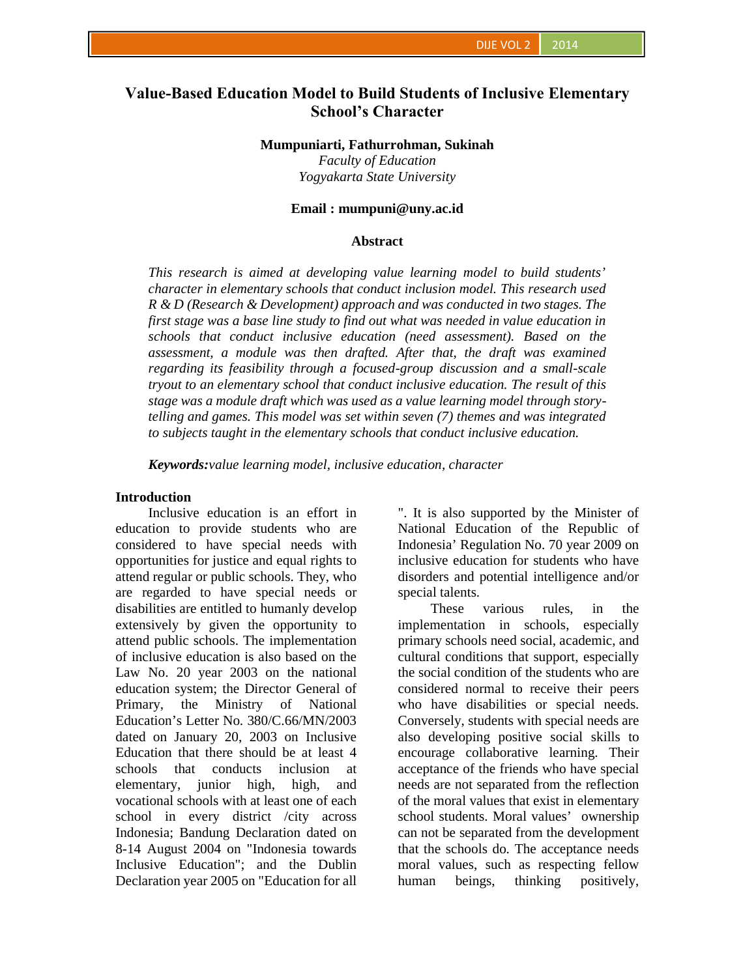# **Value-Based Education Model to Build Students of Inclusive Elementary School's Character**

#### **Mumpuniarti, Fathurrohman, Sukinah**

*Faculty of Education Yogyakarta State University*

### **Email : mumpuni@uny.ac.id**

### **Abstract**

*This research is aimed at developing value learning model to build students' character in elementary schools that conduct inclusion model. This research used R & D (Research & Development) approach and was conducted in two stages. The first stage was a base line study to find out what was needed in value education in schools that conduct inclusive education (need assessment). Based on the assessment, a module was then drafted. After that, the draft was examined regarding its feasibility through a focused-group discussion and a small-scale tryout to an elementary school that conduct inclusive education. The result of this stage was a module draft which was used as a value learning model through storytelling and games. This model was set within seven (7) themes and was integrated to subjects taught in the elementary schools that conduct inclusive education.*

*Keywords:value learning model, inclusive education, character*

### **Introduction**

Inclusive education is an effort in education to provide students who are considered to have special needs with opportunities for justice and equal rights to attend regular or public schools. They, who are regarded to have special needs or disabilities are entitled to humanly develop extensively by given the opportunity to attend public schools. The implementation of inclusive education is also based on the Law No. 20 year 2003 on the national education system; the Director General of Primary, the Ministry of National Education's Letter No. 380/C.66/MN/2003 dated on January 20, 2003 on Inclusive Education that there should be at least 4 schools that conducts inclusion at elementary, junior high, high, and vocational schools with at least one of each school in every district /city across Indonesia; Bandung Declaration dated on 8-14 August 2004 on "Indonesia towards Inclusive Education"; and the Dublin Declaration year 2005 on "Education for all

". It is also supported by the Minister of National Education of the Republic of Indonesia' Regulation No. 70 year 2009 on inclusive education for students who have disorders and potential intelligence and/or special talents.

These various rules, in the implementation in schools, especially primary schools need social, academic, and cultural conditions that support, especially the social condition of the students who are considered normal to receive their peers who have disabilities or special needs. Conversely, students with special needs are also developing positive social skills to encourage collaborative learning. Their acceptance of the friends who have special needs are not separated from the reflection of the moral values that exist in elementary school students. Moral values' ownership can not be separated from the development that the schools do. The acceptance needs moral values, such as respecting fellow human beings, thinking positively,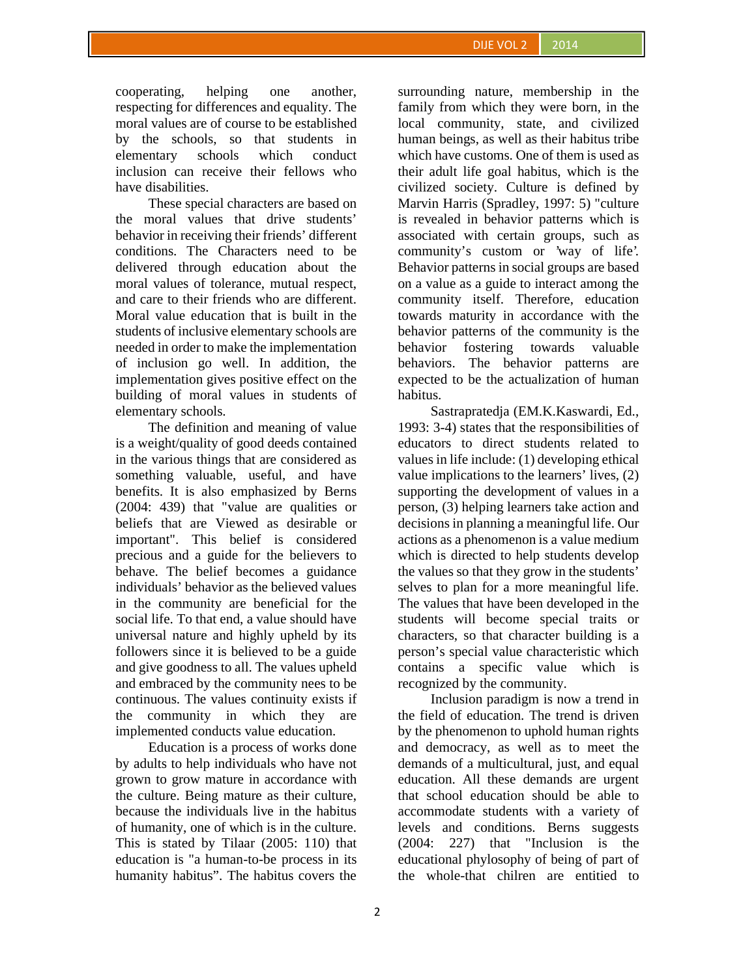cooperating, helping one another, respecting for differences and equality. The moral values are of course to be established by the schools, so that students in elementary schools which conduct inclusion can receive their fellows who have disabilities.

These special characters are based on the moral values that drive students' behavior in receiving their friends' different conditions. The Characters need to be delivered through education about the moral values of tolerance, mutual respect, and care to their friends who are different. Moral value education that is built in the students of inclusive elementary schools are needed in order to make the implementation of inclusion go well. In addition, the implementation gives positive effect on the building of moral values in students of elementary schools.

The definition and meaning of value is a weight/quality of good deeds contained in the various things that are considered as something valuable, useful, and have benefits. It is also emphasized by Berns (2004: 439) that "value are qualities or beliefs that are Viewed as desirable or important". This belief is considered precious and a guide for the believers to behave. The belief becomes a guidance individuals' behavior as the believed values in the community are beneficial for the social life. To that end, a value should have universal nature and highly upheld by its followers since it is believed to be a guide and give goodness to all. The values upheld and embraced by the community nees to be continuous. The values continuity exists if the community in which they are implemented conducts value education.

Education is a process of works done by adults to help individuals who have not grown to grow mature in accordance with the culture. Being mature as their culture, because the individuals live in the habitus of humanity, one of which is in the culture. This is stated by Tilaar (2005: 110) that education is "a human-to-be process in its humanity habitus". The habitus covers the

surrounding nature, membership in the family from which they were born, in the local community, state, and civilized human beings, as well as their habitus tribe which have customs. One of them is used as their adult life goal habitus, which is the civilized society. Culture is defined by Marvin Harris (Spradley, 1997: 5) "culture is revealed in behavior patterns which is associated with certain groups, such as community's custom or 'way of life'. Behavior patterns in social groups are based on a value as a guide to interact among the community itself. Therefore, education towards maturity in accordance with the behavior patterns of the community is the fostering towards valuable behaviors. The behavior patterns are expected to be the actualization of human habitus.

Sastrapratedja (EM.K.Kaswardi, Ed., 1993: 3-4) states that the responsibilities of educators to direct students related to values in life include: (1) developing ethical value implications to the learners' lives, (2) supporting the development of values in a person, (3) helping learners take action and decisions in planning a meaningful life. Our actions as a phenomenon is a value medium which is directed to help students develop the values so that they grow in the students' selves to plan for a more meaningful life. The values that have been developed in the students will become special traits or characters, so that character building is a person's special value characteristic which contains a specific value which is recognized by the community.

Inclusion paradigm is now a trend in the field of education. The trend is driven by the phenomenon to uphold human rights and democracy, as well as to meet the demands of a multicultural, just, and equal education. All these demands are urgent that school education should be able to accommodate students with a variety of levels and conditions. Berns suggests (2004: 227) that "Inclusion is the educational phylosophy of being of part of the whole-that chilren are entitied to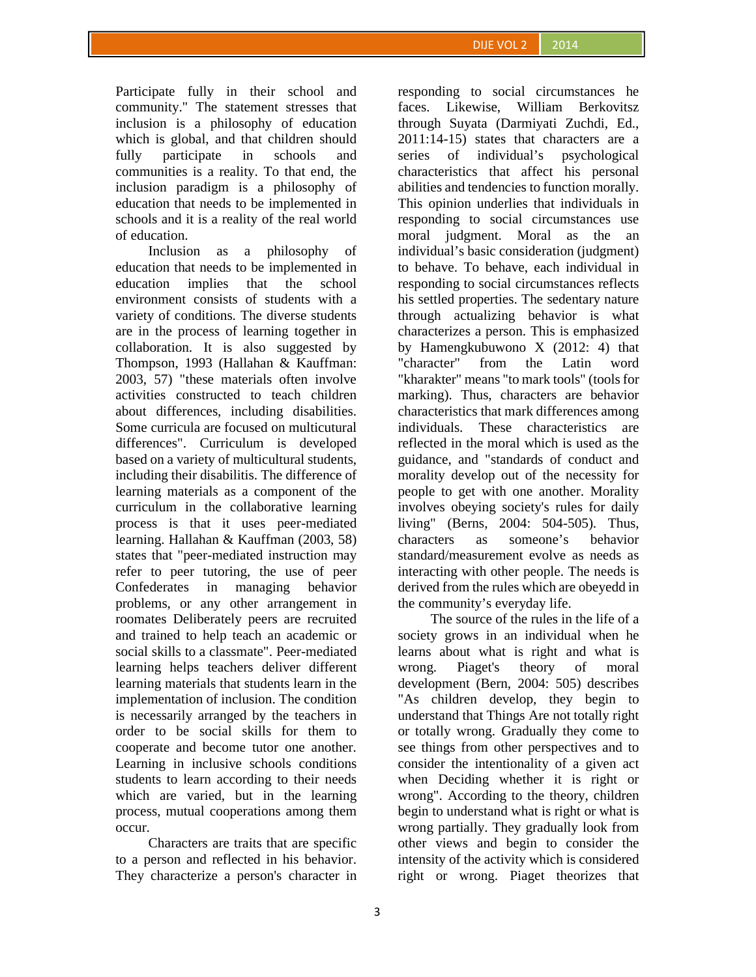Participate fully in their school and community." The statement stresses that inclusion is a philosophy of education which is global, and that children should fully participate in schools and communities is a reality. To that end, the inclusion paradigm is a philosophy of education that needs to be implemented in schools and it is a reality of the real world of education.

Inclusion as a philosophy of education that needs to be implemented in education implies that the school environment consists of students with a variety of conditions. The diverse students are in the process of learning together in collaboration. It is also suggested by Thompson, 1993 (Hallahan & Kauffman: 2003, 57) "these materials often involve activities constructed to teach children about differences, including disabilities. Some curricula are focused on multicutural differences". Curriculum is developed based on a variety of multicultural students, including their disabilitis. The difference of learning materials as a component of the curriculum in the collaborative learning process is that it uses peer-mediated learning. Hallahan & Kauffman (2003, 58) states that "peer-mediated instruction may refer to peer tutoring, the use of peer Confederates in managing behavior problems, or any other arrangement in roomates Deliberately peers are recruited and trained to help teach an academic or social skills to a classmate". Peer-mediated learning helps teachers deliver different learning materials that students learn in the implementation of inclusion. The condition is necessarily arranged by the teachers in order to be social skills for them to cooperate and become tutor one another. Learning in inclusive schools conditions students to learn according to their needs which are varied, but in the learning process, mutual cooperations among them occur.

Characters are traits that are specific to a person and reflected in his behavior. They characterize a person's character in

responding to social circumstances he faces. Likewise, William Berkovitsz through Suyata (Darmiyati Zuchdi, Ed., 2011:14-15) states that characters are a series of individual's psychological characteristics that affect his personal abilities and tendencies to function morally. This opinion underlies that individuals in responding to social circumstances use moral judgment. Moral as the an individual's basic consideration (judgment) to behave. To behave, each individual in responding to social circumstances reflects his settled properties. The sedentary nature through actualizing behavior is what characterizes a person. This is emphasized by Hamengkubuwono X (2012: 4) that "character" from the Latin word "kharakter" means "to mark tools" (tools for marking). Thus, characters are behavior characteristics that mark differences among individuals. These characteristics are reflected in the moral which is used as the guidance, and "standards of conduct and morality develop out of the necessity for people to get with one another. Morality involves obeying society's rules for daily living" (Berns, 2004: 504-505). Thus, characters as someone's behavior standard/measurement evolve as needs as interacting with other people. The needs is derived from the rules which are obeyedd in the community's everyday life.

The source of the rules in the life of a society grows in an individual when he learns about what is right and what is wrong. Piaget's theory of moral development (Bern, 2004: 505) describes "As children develop, they begin to understand that Things Are not totally right or totally wrong. Gradually they come to see things from other perspectives and to consider the intentionality of a given act when Deciding whether it is right or wrong". According to the theory, children begin to understand what is right or what is wrong partially. They gradually look from other views and begin to consider the intensity of the activity which is considered right or wrong. Piaget theorizes that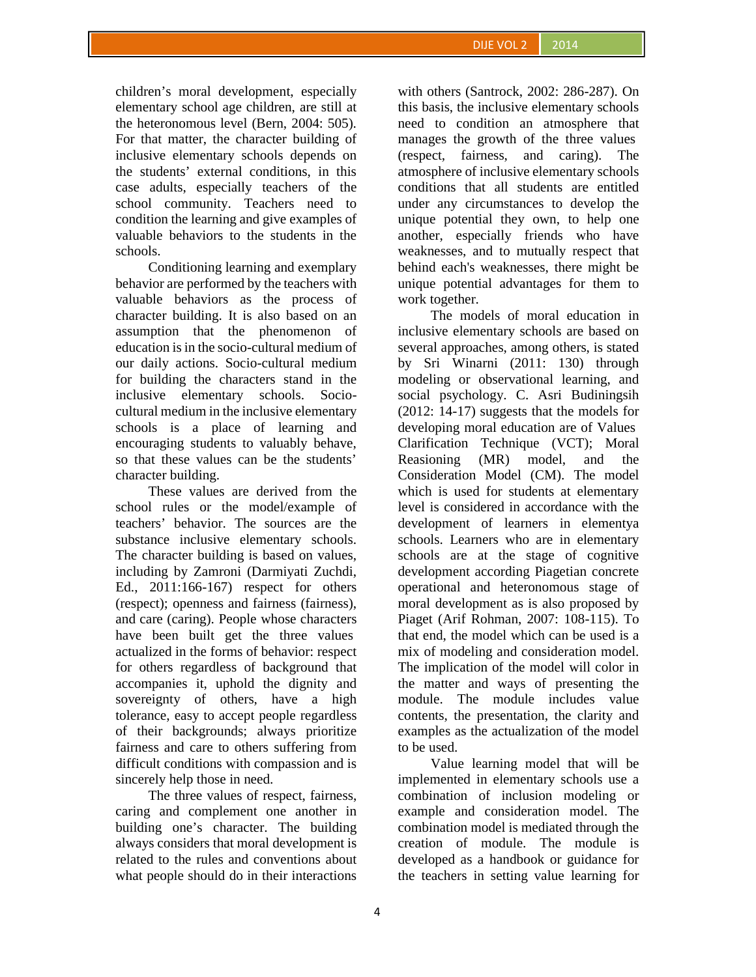children's moral development, especially elementary school age children, are still at the heteronomous level (Bern, 2004: 505). For that matter, the character building of inclusive elementary schools depends on the students' external conditions, in this case adults, especially teachers of the school community. Teachers need to condition the learning and give examples of valuable behaviors to the students in the schools.

Conditioning learning and exemplary behavior are performed by the teachers with valuable behaviors as the process of character building. It is also based on an assumption that the phenomenon of education is in the socio-cultural medium of our daily actions. Socio-cultural medium for building the characters stand in the inclusive elementary schools. Socio cultural medium in the inclusive elementary schools is a place of learning and encouraging students to valuably behave, so that these values can be the students' character building.

These values are derived from the school rules or the model/example of teachers' behavior. The sources are the substance inclusive elementary schools. The character building is based on values, including by Zamroni (Darmiyati Zuchdi, Ed., 2011:166-167) respect for others (respect); openness and fairness (fairness), and care (caring). People whose characters have been built get the three values actualized in the forms of behavior: respect for others regardless of background that accompanies it, uphold the dignity and sovereignty of others, have a high tolerance, easy to accept people regardless of their backgrounds; always prioritize fairness and care to others suffering from difficult conditions with compassion and is sincerely help those in need.

The three values of respect, fairness, caring and complement one another in building one's character. The building always considers that moral development is related to the rules and conventions about what people should do in their interactions with others (Santrock, 2002: 286-287). On this basis, the inclusive elementary schools need to condition an atmosphere that manages the growth of the three values (respect, fairness, and caring). The atmosphere of inclusive elementary schools conditions that all students are entitled under any circumstances to develop the unique potential they own, to help one another, especially friends who have weaknesses, and to mutually respect that behind each's weaknesses, there might be unique potential advantages for them to work together.

The models of moral education in inclusive elementary schools are based on several approaches, among others, is stated by Sri Winarni (2011: 130) through modeling or observational learning, and social psychology. C. Asri Budiningsih (2012: 14-17) suggests that the models for developing moral education are of Values Clarification Technique (VCT); Moral Reasioning (MR) model, and the Consideration Model (CM). The model which is used for students at elementary level is considered in accordance with the development of learners in elementya schools. Learners who are in elementary schools are at the stage of cognitive development according Piagetian concrete operational and heteronomous stage of moral development as is also proposed by Piaget (Arif Rohman, 2007: 108-115). To that end, the model which can be used is a mix of modeling and consideration model. The implication of the model will color in the matter and ways of presenting the module. The module includes value contents, the presentation, the clarity and examples as the actualization of the model to be used.

Value learning model that will be implemented in elementary schools use a combination of inclusion modeling or example and consideration model. The combination model is mediated through the creation of module. The module is developed as a handbook or guidance for the teachers in setting value learning for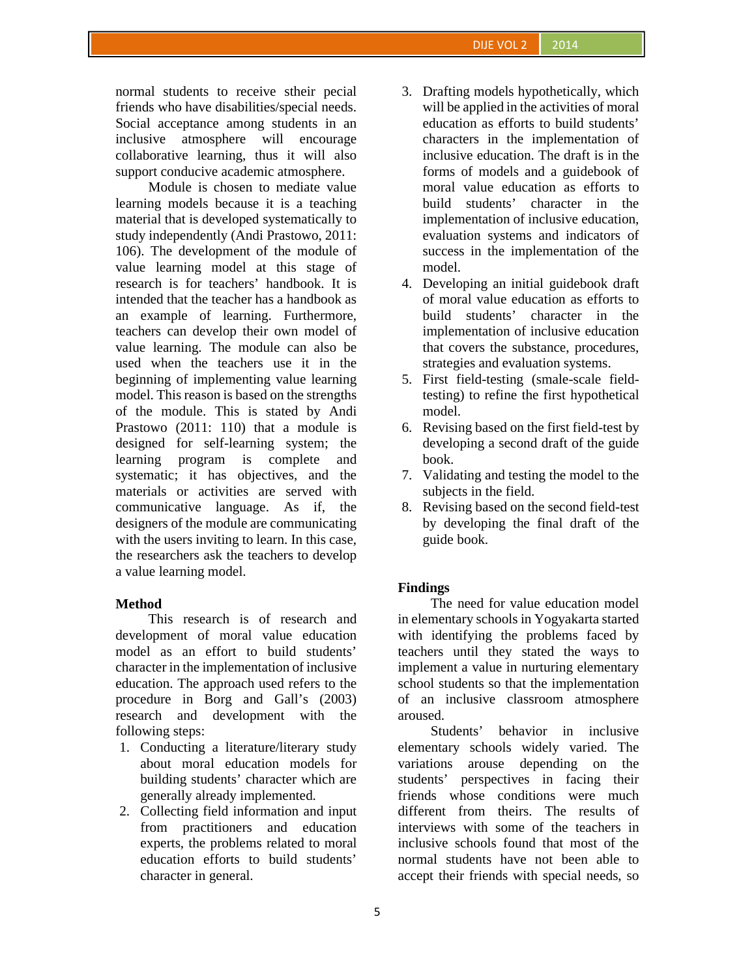normal students to receive stheir pecial friends who have disabilities/special needs. Social acceptance among students in an inclusive atmosphere will encourage collaborative learning, thus it will also support conducive academic atmosphere.

Module is chosen to mediate value learning models because it is a teaching material that is developed systematically to study independently (Andi Prastowo, 2011: 106). The development of the module of value learning model at this stage of research is for teachers' handbook. It is intended that the teacher has a handbook as an example of learning. Furthermore, teachers can develop their own model of value learning. The module can also be used when the teachers use it in the beginning of implementing value learning model. This reason is based on the strengths of the module. This is stated by Andi Prastowo (2011: 110) that a module is designed for self-learning system; the learning program is complete and systematic; it has objectives, and the materials or activities are served with communicative language. As if, the designers of the module are communicating with the users inviting to learn. In this case, the researchers ask the teachers to develop a value learning model.

## **Method**

This research is of research and development of moral value education model as an effort to build students' character in the implementation of inclusive education. The approach used refers to the procedure in Borg and Gall's (2003) research and development with the following steps:

- 1. Conducting a literature/literary study about moral education models for building students' character which are generally already implemented.
- 2. Collecting field information and input from practitioners and education experts, the problems related to moral education efforts to build students' character in general.
- 3. Drafting models hypothetically, which will be applied in the activities of moral education as efforts to build students' characters in the implementation of inclusive education. The draft is in the forms of models and a guidebook of moral value education as efforts to build students' character in the implementation of inclusive education, evaluation systems and indicators of success in the implementation of the model.
- 4. Developing an initial guidebook draft of moral value education as efforts to build students' character in the implementation of inclusive education that covers the substance, procedures, strategies and evaluation systems.
- 5. First field-testing (smale-scale fieldtesting) to refine the first hypothetical model.
- 6. Revising based on the first field-test by developing a second draft of the guide book.
- 7. Validating and testing the model to the subjects in the field.
- 8. Revising based on the second field-test by developing the final draft of the guide book.

## **Findings**

The need for value education model in elementary schools in Yogyakarta started with identifying the problems faced by teachers until they stated the ways to implement a value in nurturing elementary school students so that the implementation of an inclusive classroom atmosphere aroused.

Students' behavior in inclusive elementary schools widely varied. The variations arouse depending on the students' perspectives in facing their friends whose conditions were much different from theirs. The results of interviews with some of the teachers in inclusive schools found that most of the normal students have not been able to accept their friends with special needs, so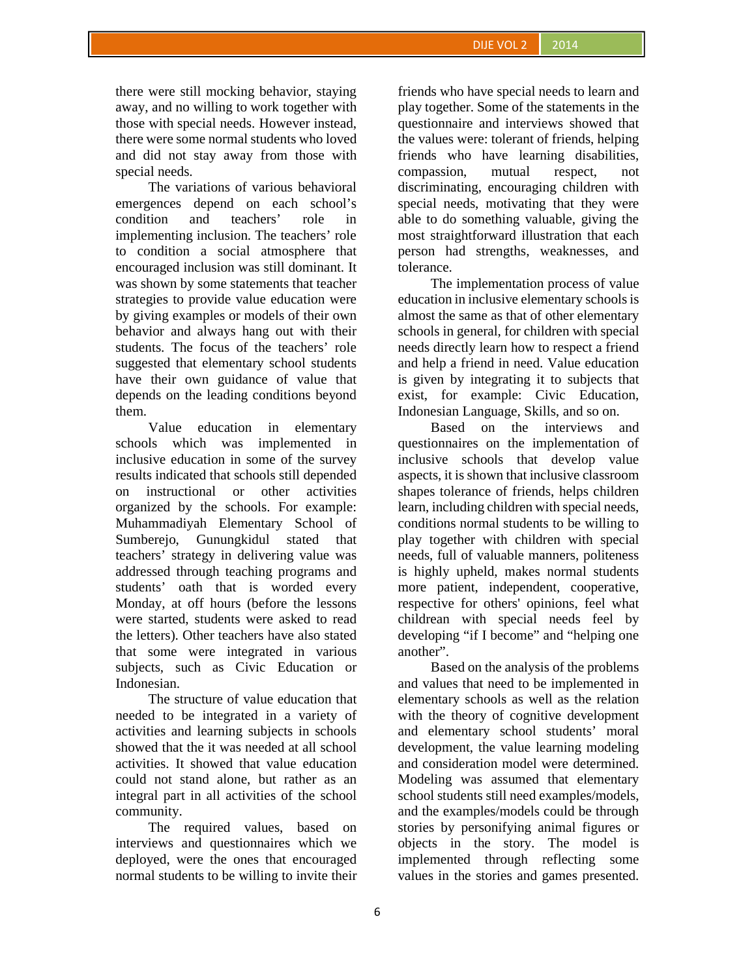there were still mocking behavior, staying away, and no willing to work together with those with special needs. However instead, there were some normal students who loved and did not stay away from those with special needs.

The variations of various behavioral emergences depend on each school's condition and teachers' role in implementing inclusion. The teachers' role to condition a social atmosphere that encouraged inclusion was still dominant. It was shown by some statements that teacher strategies to provide value education were by giving examples or models of their own behavior and always hang out with their students. The focus of the teachers' role suggested that elementary school students have their own guidance of value that depends on the leading conditions beyond them.

Value education in elementary schools which was implemented in inclusive education in some of the survey results indicated that schools still depended on instructional or other activities organized by the schools. For example: Muhammadiyah Elementary School of Sumberejo, Gunungkidul stated that teachers' strategy in delivering value was addressed through teaching programs and students' oath that is worded every Monday, at off hours (before the lessons were started, students were asked to read the letters). Other teachers have also stated that some were integrated in various subjects, such as Civic Education or Indonesian.

The structure of value education that needed to be integrated in a variety of activities and learning subjects in schools showed that the it was needed at all school activities. It showed that value education could not stand alone, but rather as an integral part in all activities of the school community.

The required values, based on interviews and questionnaires which we deployed, were the ones that encouraged normal students to be willing to invite their

friends who have special needs to learn and play together. Some of the statements in the questionnaire and interviews showed that the values were: tolerant of friends, helping friends who have learning disabilities, compassion, mutual respect, not discriminating, encouraging children with special needs, motivating that they were able to do something valuable, giving the most straightforward illustration that each person had strengths, weaknesses, and tolerance.

The implementation process of value education in inclusive elementary schools is almost the same as that of other elementary schools in general, for children with special needs directly learn how to respect a friend and help a friend in need. Value education is given by integrating it to subjects that exist, for example: Civic Education, Indonesian Language, Skills, and so on.

Based on the interviews and questionnaires on the implementation of inclusive schools that develop value aspects, it is shown that inclusive classroom shapes tolerance of friends, helps children learn, including children with special needs, conditions normal students to be willing to play together with children with special needs, full of valuable manners, politeness is highly upheld, makes normal students more patient, independent, cooperative, respective for others' opinions, feel what childrean with special needs feel by developing "if I become" and "helping one another".

Based on the analysis of the problems and values that need to be implemented in elementary schools as well as the relation with the theory of cognitive development and elementary school students' moral development, the value learning modeling and consideration model were determined. Modeling was assumed that elementary school students still need examples/models, and the examples/models could be through stories by personifying animal figures or objects in the story. The model is implemented through reflecting some values in the stories and games presented.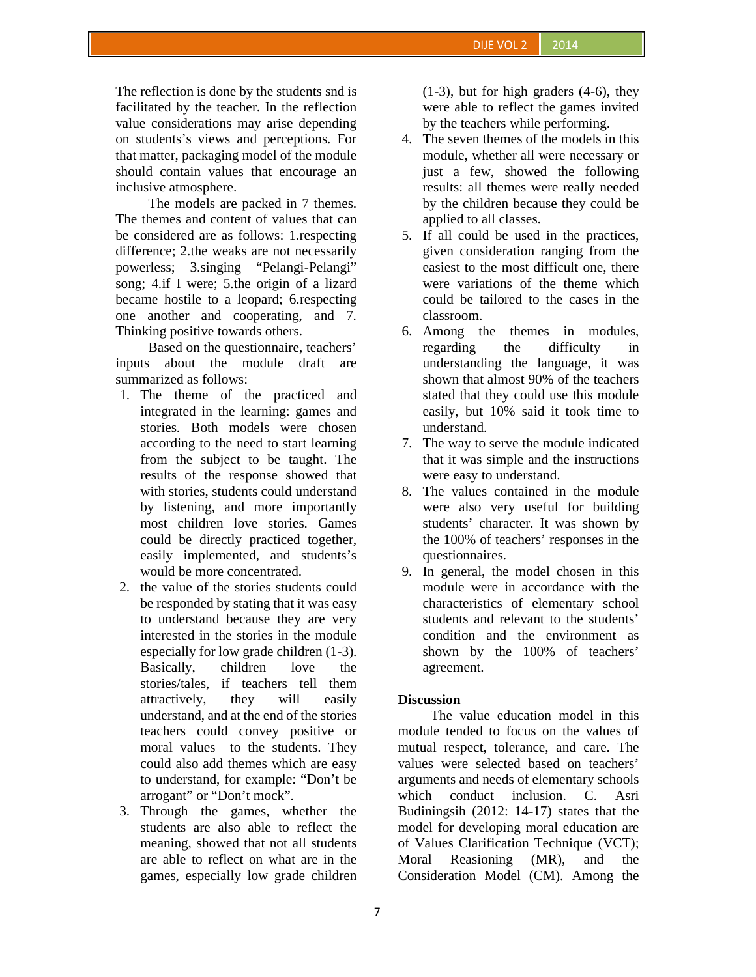The reflection is done by the students snd is facilitated by the teacher. In the reflection value considerations may arise depending on students's views and perceptions. For that matter, packaging model of the module should contain values that encourage an inclusive atmosphere.

The models are packed in 7 themes. The themes and content of values that can be considered are as follows: 1.respecting difference; 2.the weaks are not necessarily powerless; 3.singing "Pelangi-Pelangi" song; 4.if I were; 5.the origin of a lizard became hostile to a leopard; 6.respecting one another and cooperating, and 7. Thinking positive towards others.

Based on the questionnaire, teachers' inputs about the module draft are summarized as follows:

- 1. The theme of the practiced and integrated in the learning: games and stories. Both models were chosen according to the need to start learning from the subject to be taught. The results of the response showed that with stories, students could understand by listening, and more importantly most children love stories. Games could be directly practiced together, easily implemented, and students's would be more concentrated.
- 2. the value of the stories students could be responded by stating that it was easy to understand because they are very interested in the stories in the module especially for low grade children (1-3). Basically, children love the stories/tales, if teachers tell them attractively, they will easily understand, and at the end of the stories teachers could convey positive or moral values to the students. They could also add themes which are easy to understand, for example: "Don't be arrogant" or "Don't mock".
- 3. Through the games, whether the students are also able to reflect the meaning, showed that not all students are able to reflect on what are in the games, especially low grade children

(1-3), but for high graders (4-6), they were able to reflect the games invited by the teachers while performing.

- 4. The seven themes of the models in this module, whether all were necessary or just a few, showed the following results: all themes were really needed by the children because they could be applied to all classes.
- 5. If all could be used in the practices, given consideration ranging from the easiest to the most difficult one, there were variations of the theme which could be tailored to the cases in the classroom.
- 6. Among the themes in modules, regarding the difficulty in understanding the language, it was shown that almost 90% of the teachers stated that they could use this module easily, but 10% said it took time to understand.
- 7. The way to serve the module indicated that it was simple and the instructions were easy to understand.
- 8. The values contained in the module were also very useful for building students' character. It was shown by the 100% of teachers' responses in the questionnaires.
- 9. In general, the model chosen in this module were in accordance with the characteristics of elementary school students and relevant to the students' condition and the environment as shown by the 100% of teachers' agreement.

## **Discussion**

The value education model in this module tended to focus on the values of mutual respect, tolerance, and care. The values were selected based on teachers' arguments and needs of elementary schools which conduct inclusion. C. Asri Budiningsih (2012: 14-17) states that the model for developing moral education are of Values Clarification Technique (VCT); Reasioning (MR), and the Consideration Model (CM). Among the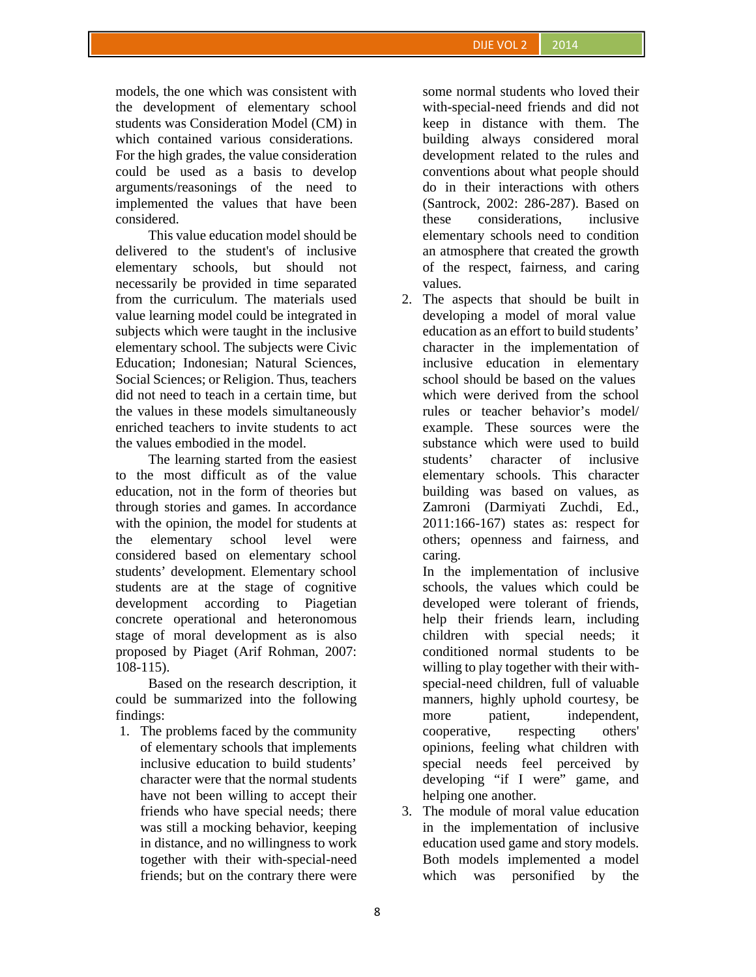models, the one which was consistent with the development of elementary school students was Consideration Model (CM) in which contained various considerations. For the high grades, the value consideration could be used as a basis to develop arguments/reasonings of the need to implemented the values that have been considered.

This value education model should be delivered to the student's of inclusive elementary schools, but should not necessarily be provided in time separated from the curriculum. The materials used value learning model could be integrated in subjects which were taught in the inclusive elementary school. The subjects were Civic Education; Indonesian; Natural Sciences, Social Sciences; or Religion. Thus, teachers did not need to teach in a certain time, but the values in these models simultaneously enriched teachers to invite students to act the values embodied in the model.

The learning started from the easiest to the most difficult as of the value education, not in the form of theories but through stories and games. In accordance with the opinion, the model for students at the elementary school level were considered based on elementary school students' development. Elementary school students are at the stage of cognitive development according to Piagetian concrete operational and heteronomous stage of moral development as is also proposed by Piaget (Arif Rohman, 2007: 108-115).

Based on the research description, it could be summarized into the following findings:

1. The problems faced by the community of elementary schools that implements inclusive education to build students' character were that the normal students have not been willing to accept their friends who have special needs; there was still a mocking behavior, keeping in distance, and no willingness to work together with their with-special-need friends; but on the contrary there were

some normal students who loved their with-special-need friends and did not keep in distance with them. The building always considered moral development related to the rules and conventions about what people should do in their interactions with others (Santrock, 2002: 286-287). Based on these considerations, inclusive elementary schools need to condition an atmosphere that created the growth of the respect, fairness, and caring values.

2. The aspects that should be built in developing a model of moral value education as an effort to build students' character in the implementation of inclusive education in elementary school should be based on the values which were derived from the school rules or teacher behavior's model/ example. These sources were the substance which were used to build students' character of inclusive elementary schools. This character building was based on values, as Zamroni (Darmiyati Zuchdi, Ed., 2011:166-167) states as: respect for others; openness and fairness, and caring.

In the implementation of inclusive schools, the values which could be developed were tolerant of friends, help their friends learn, including children with special needs; it conditioned normal students to be willing to play together with their with special-need children, full of valuable manners, highly uphold courtesy, be more patient, independent, cooperative, respecting others' opinions, feeling what children with special needs feel perceived by developing "if I were" game, and helping one another.

3. The module of moral value education in the implementation of inclusive education used game and story models. Both models implemented a model which was personified by the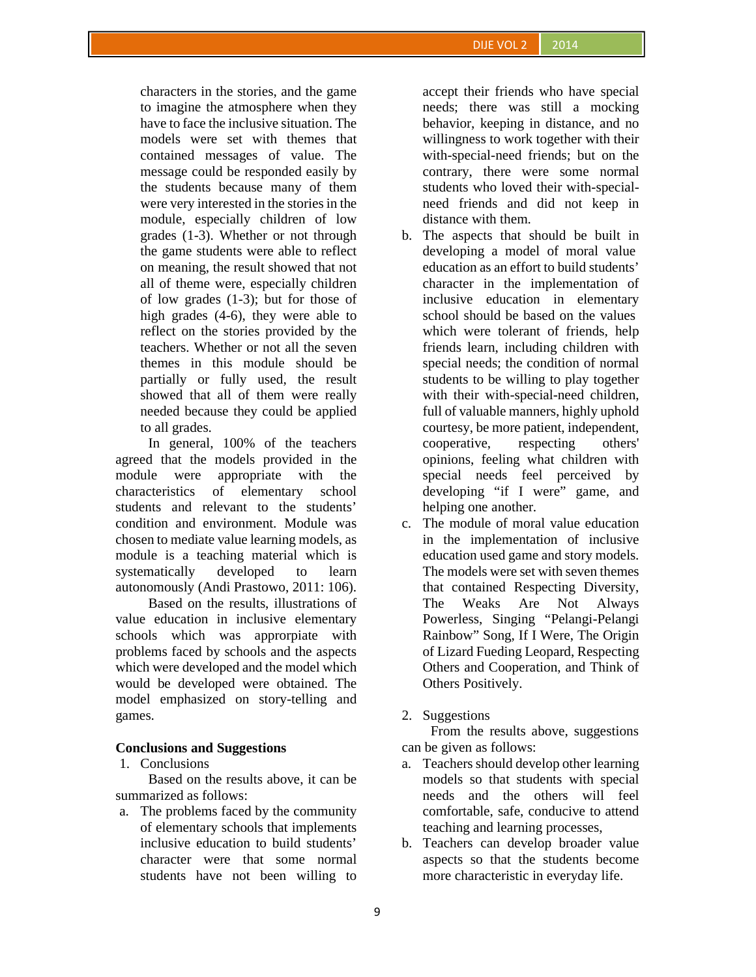characters in the stories, and the game to imagine the atmosphere when they have to face the inclusive situation. The models were set with themes that contained messages of value. The message could be responded easily by the students because many of them were very interested in the stories in the module, especially children of low grades (1-3). Whether or not through the game students were able to reflect on meaning, the result showed that not all of theme were, especially children of low grades (1-3); but for those of high grades (4-6), they were able to reflect on the stories provided by the teachers. Whether or not all the seven themes in this module should be partially or fully used, the result showed that all of them were really needed because they could be applied to all grades.

In general, 100% of the teachers agreed that the models provided in the module were appropriate with the characteristics of elementary school students and relevant to the students' condition and environment. Module was chosen to mediate value learning models, as module is a teaching material which is systematically developed to learn autonomously (Andi Prastowo, 2011: 106).

Based on the results, illustrations of value education in inclusive elementary schools which was approrpiate with problems faced by schools and the aspects which were developed and the model which would be developed were obtained. The model emphasized on story-telling and games.

### **Conclusions and Suggestions**

### 1. Conclusions

Based on the results above, it can be summarized as follows:

a. The problems faced by the community of elementary schools that implements inclusive education to build students' character were that some normal students have not been willing to

accept their friends who have special needs; there was still a mocking behavior, keeping in distance, and no willingness to work together with their with-special-need friends; but on the contrary, there were some normal students who loved their with-special need friends and did not keep in distance with them.

- b. The aspects that should be built in developing a model of moral value education as an effort to build students' character in the implementation of inclusive education in elementary school should be based on the values which were tolerant of friends, help friends learn, including children with special needs; the condition of normal students to be willing to play together with their with-special-need children, full of valuable manners, highly uphold courtesy, be more patient, independent, cooperative, respecting others' opinions, feeling what children with special needs feel perceived by developing "if I were" game, and helping one another.
- c. The module of moral value education in the implementation of inclusive education used game and story models. The models were set with seven themes that contained Respecting Diversity, The Weaks Are Not Always Powerless, Singing "Pelangi-Pelangi Rainbow" Song, If I Were, The Origin of Lizard Fueding Leopard, Respecting Others and Cooperation, and Think of Others Positively.

### 2. Suggestions

From the results above, suggestions can be given as follows:

- a. Teachers should develop other learning models so that students with special needs and the others will feel comfortable, safe, conducive to attend teaching and learning processes,
- b. Teachers can develop broader value aspects so that the students become more characteristic in everyday life.